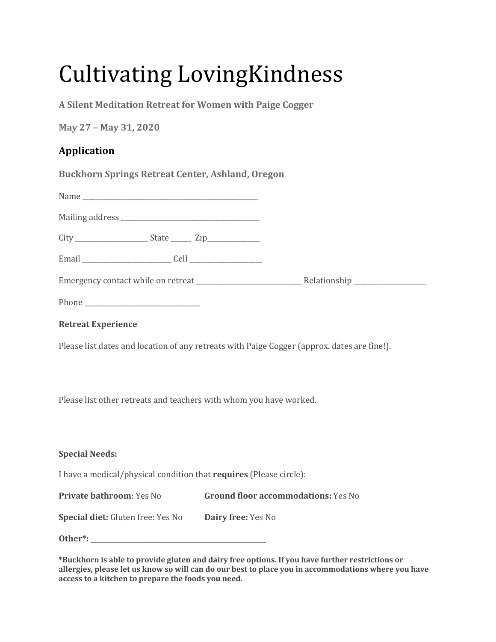# **Cultivating LovingKindness**

A Silent Meditation Retreat for Women with Paige Cogger

**May 27 – May 31, 2020** 

# **Application**

Buckhorn Springs Retreat Center, Ashland, Oregon

# **Retreat Experience**

Please list dates and location of any retreats with Paige Cogger (approx. dates are fine!).

Please list other retreats and teachers with whom you have worked.

# **Special Needs:**

I have a medical/physical condition that **requires** (Please circle):

**Private bathroom**: Yes No **Ground floor accommodations:** Yes No

| Special diet: Gluten free: Yes No | Dairy free: Yes No |
|-----------------------------------|--------------------|
|-----------------------------------|--------------------|

**Other\*: \_\_\_\_\_\_\_\_\_\_\_\_\_\_\_\_\_\_\_\_\_\_\_\_\_\_\_\_\_\_\_\_\_\_\_\_\_\_\_\_\_\_\_\_\_\_\_\_\_\_\_\_\_** 

\*Buckhorn is able to provide gluten and dairy free options. If you have further restrictions or allergies, please let us know so will can do our best to place you in accommodations where you have access to a kitchen to prepare the foods you need.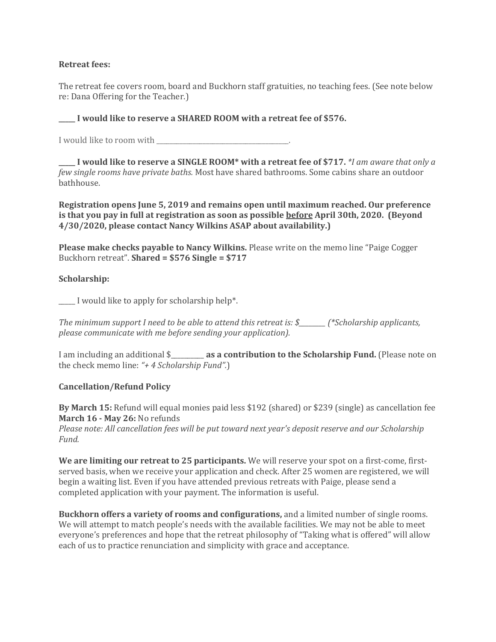#### **Retreat fees:**

The retreat fee covers room, board and Buckhorn staff gratuities, no teaching fees. (See note below re: Dana Offering for the Teacher.)

# **I** would like to reserve a SHARED ROOM with a retreat fee of \$576.

I would like to room with \_\_\_\_\_\_\_\_\_\_\_\_\_\_\_\_\_\_\_\_\_\_\_\_\_\_\_\_\_\_\_\_\_\_\_\_\_\_\_\_. 

**I** would like to reserve a SINGLE ROOM\* with a retreat fee of \$717. *\*I* am aware that only a *few single rooms have private baths.* Most have shared bathrooms. Some cabins share an outdoor bathhouse. 

**Registration opens June 5, 2019 and remains open until maximum reached. Our preference is that you pay in full at registration as soon as possible <b>before** April 30th, 2020. (Beyond **4/30/2020, please contact Nancy Wilkins ASAP about availability.)**

**Please make checks payable to Nancy Wilkins.** Please write on the memo line "Paige Cogger" Buckhorn retreat". **Shared = \$576** Single = \$717

## **Scholarship:**

 $\Box$  I would like to apply for scholarship help<sup>\*</sup>.

*The minimum support I need to be able to attend this retreat is:* \$  $\blacksquare$  (\*Scholarship applicants, *please communicate with me before sending your application).* 

I am including an additional \$ **as a contribution to the Scholarship Fund.** (Please note on the check memo line: "+ 4 Scholarship Fund".)

#### **Cancellation/Refund Policy**

**By March 15:** Refund will equal monies paid less \$192 (shared) or \$239 (single) as cancellation fee **March 16 - May 26: No refunds** 

*Please note: All cancellation fees will be put toward next year's deposit reserve and our Scholarship Fund.* 

**We are limiting our retreat to 25 participants.** We will reserve your spot on a first-come, firstserved basis, when we receive your application and check. After 25 women are registered, we will begin a waiting list. Even if you have attended previous retreats with Paige, please send a completed application with your payment. The information is useful.

**Buckhorn offers a variety of rooms and configurations,** and a limited number of single rooms. We will attempt to match people's needs with the available facilities. We may not be able to meet everyone's preferences and hope that the retreat philosophy of "Taking what is offered" will allow each of us to practice renunciation and simplicity with grace and acceptance.